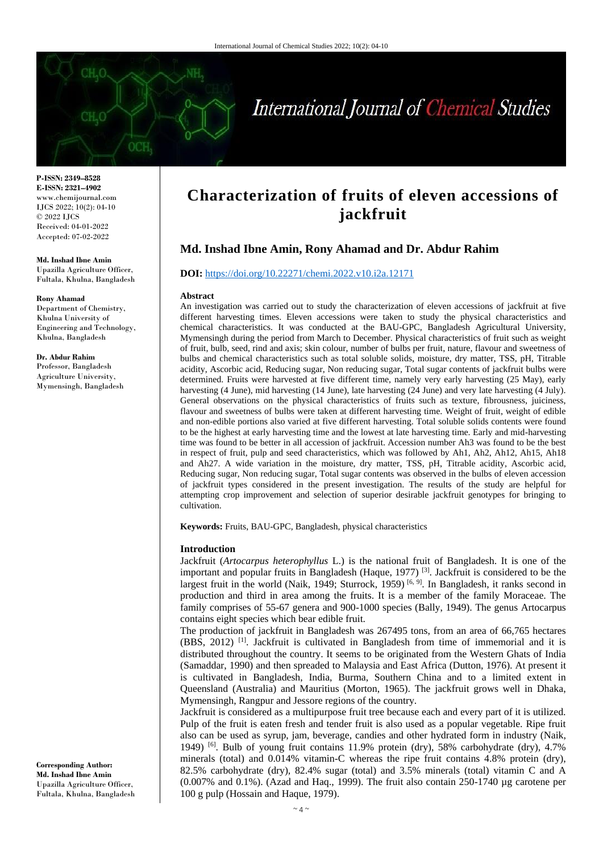

# International Journal of Chemical Studies

**P-ISSN: 2349–8528 E-ISSN: 2321–4902** www.chemijournal.com IJCS 2022; 10(2): 04-10 © 2022 IJCS Received: 04-01-2022 Accepted: 07-02-2022

**Md. Inshad Ibne Amin** Upazilla Agriculture Officer, Fultala, Khulna, Bangladesh

**Rony Ahamad** Department of Chemistry, Khulna University of Engineering and Technology, Khulna, Bangladesh

**Dr. Abdur Rahim** Professor, Bangladesh Agriculture University, Mymensingh, Bangladesh

## **Characterization of fruits of eleven accessions of jackfruit**

### **Md. Inshad Ibne Amin, Rony Ahamad and Dr. Abdur Rahim**

#### **DOI:** <https://doi.org/10.22271/chemi.2022.v10.i2a.12171>

#### **Abstract**

An investigation was carried out to study the characterization of eleven accessions of jackfruit at five different harvesting times. Eleven accessions were taken to study the physical characteristics and chemical characteristics. It was conducted at the BAU-GPC, Bangladesh Agricultural University, Mymensingh during the period from March to December. Physical characteristics of fruit such as weight of fruit, bulb, seed, rind and axis; skin colour, number of bulbs per fruit, nature, flavour and sweetness of bulbs and chemical characteristics such as total soluble solids, moisture, dry matter, TSS, pH, Titrable acidity, Ascorbic acid, Reducing sugar, Non reducing sugar, Total sugar contents of jackfruit bulbs were determined. Fruits were harvested at five different time, namely very early harvesting (25 May), early harvesting (4 June), mid harvesting (14 June), late harvesting (24 June) and very late harvesting (4 July). General observations on the physical characteristics of fruits such as texture, fibrousness, juiciness, flavour and sweetness of bulbs were taken at different harvesting time. Weight of fruit, weight of edible and non-edible portions also varied at five different harvesting. Total soluble solids contents were found to be the highest at early harvesting time and the lowest at late harvesting time. Early and mid-harvesting time was found to be better in all accession of jackfruit. Accession number Ah3 was found to be the best in respect of fruit, pulp and seed characteristics, which was followed by Ah1, Ah2, Ah12, Ah15, Ah18 and Ah27. A wide variation in the moisture, dry matter, TSS, pH, Titrable acidity, Ascorbic acid, Reducing sugar, Non reducing sugar, Total sugar contents was observed in the bulbs of eleven accession of jackfruit types considered in the present investigation. The results of the study are helpful for attempting crop improvement and selection of superior desirable jackfruit genotypes for bringing to cultivation.

**Keywords:** Fruits, BAU-GPC, Bangladesh, physical characteristics

#### **Introduction**

Jackfruit (*Artocarpus heterophyllus* L.) is the national fruit of Bangladesh. It is one of the important and popular fruits in Bangladesh (Haque, 1977) [3]. Jackfruit is considered to be the largest fruit in the world (Naik, 1949; Sturrock, 1959)<sup>[6, 9]</sup>. In Bangladesh, it ranks second in production and third in area among the fruits. It is a member of the family Moraceae. The family comprises of 55-67 genera and 900-1000 species (Bally, 1949). The genus Artocarpus contains eight species which bear edible fruit.

The production of jackfruit in Bangladesh was 267495 tons, from an area of 66,765 hectares (BBS, 2012) [1]. Jackfruit is cultivated in Bangladesh from time of immemorial and it is distributed throughout the country. It seems to be originated from the Western Ghats of India (Samaddar, 1990) and then spreaded to Malaysia and East Africa (Dutton, 1976). At present it is cultivated in Bangladesh, India, Burma, Southern China and to a limited extent in Queensland (Australia) and Mauritius (Morton, 1965). The jackfruit grows well in Dhaka, Mymensingh, Rangpur and Jessore regions of the country.

Jackfruit is considered as a multipurpose fruit tree because each and every part of it is utilized. Pulp of the fruit is eaten fresh and tender fruit is also used as a popular vegetable. Ripe fruit also can be used as syrup, jam, beverage, candies and other hydrated form in industry (Naik, 1949) <sup>[6]</sup>. Bulb of young fruit contains 11.9% protein (dry), 58% carbohydrate (dry), 4.7% minerals (total) and 0.014% vitamin-C whereas the ripe fruit contains 4.8% protein (dry), 82.5% carbohydrate (dry), 82.4% sugar (total) and 3.5% minerals (total) vitamin C and A (0.007% and 0.1%). (Azad and Haq., 1999). The fruit also contain 250-1740 µg carotene per 100 g pulp (Hossain and Haque, 1979).

**Corresponding Author:**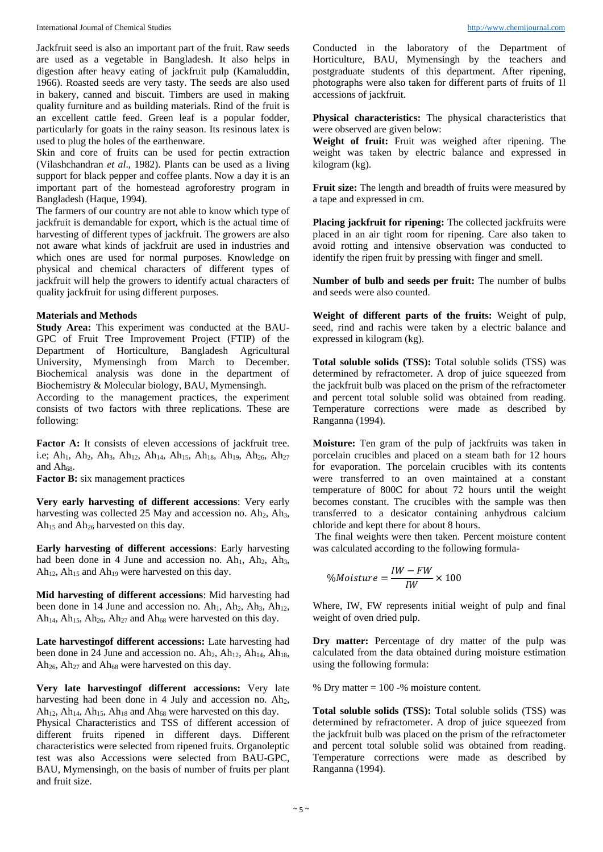Jackfruit seed is also an important part of the fruit. Raw seeds are used as a vegetable in Bangladesh. It also helps in digestion after heavy eating of jackfruit pulp (Kamaluddin, 1966). Roasted seeds are very tasty. The seeds are also used in bakery, canned and biscuit. Timbers are used in making quality furniture and as building materials. Rind of the fruit is an excellent cattle feed. Green leaf is a popular fodder, particularly for goats in the rainy season. Its resinous latex is used to plug the holes of the earthenware.

Skin and core of fruits can be used for pectin extraction (Vilashchandran *et al*., 1982). Plants can be used as a living support for black pepper and coffee plants. Now a day it is an important part of the homestead agroforestry program in Bangladesh (Haque, 1994).

The farmers of our country are not able to know which type of jackfruit is demandable for export, which is the actual time of harvesting of different types of jackfruit. The growers are also not aware what kinds of jackfruit are used in industries and which ones are used for normal purposes. Knowledge on physical and chemical characters of different types of jackfruit will help the growers to identify actual characters of quality jackfruit for using different purposes.

#### **Materials and Methods**

**Study Area:** This experiment was conducted at the BAU-GPC of Fruit Tree Improvement Project (FTIP) of the Department of Horticulture, Bangladesh Agricultural University, Mymensingh from March to December. Biochemical analysis was done in the department of Biochemistry & Molecular biology, BAU, Mymensingh.

According to the management practices, the experiment consists of two factors with three replications. These are following:

Factor A: It consists of eleven accessions of jackfruit tree. i.e; Ah<sub>1</sub>, Ah<sub>2</sub>, Ah<sub>3</sub>, Ah<sub>12</sub>, Ah<sub>14</sub>, Ah<sub>15</sub>, Ah<sub>18</sub>, Ah<sub>19</sub>, Ah<sub>26</sub>, Ah<sub>27</sub> and Ah68.

**Factor B:** six management practices

**Very early harvesting of different accessions**: Very early harvesting was collected 25 May and accession no.  $Ah<sub>2</sub>$ ,  $Ah<sub>3</sub>$ , Ah<sub>15</sub> and Ah<sub>26</sub> harvested on this day.

**Early harvesting of different accessions**: Early harvesting had been done in 4 June and accession no.  $Ah_1$ ,  $Ah_2$ ,  $Ah_3$ ,  $Ah<sub>12</sub>, Ah<sub>15</sub>$  and  $Ah<sub>19</sub>$  were harvested on this day.

**Mid harvesting of different accessions**: Mid harvesting had been done in 14 June and accession no. Ah<sub>1</sub>, Ah<sub>2</sub>, Ah<sub>3</sub>, Ah<sub>12</sub>, Ah<sub>14</sub>, Ah<sub>15</sub>, Ah<sub>26</sub>, Ah<sub>27</sub> and Ah<sub>68</sub> were harvested on this day.

**Late harvestingof different accessions:** Late harvesting had been done in 24 June and accession no. Ah<sub>2</sub>, Ah<sub>12</sub>, Ah<sub>14</sub>, Ah<sub>18</sub>, Ah<sub>26</sub>, Ah<sub>27</sub> and Ah<sub>68</sub> were harvested on this day.

**Very late harvestingof different accessions:** Very late harvesting had been done in 4 July and accession no. Ah<sub>2</sub>,  $Ah<sub>12</sub>, Ah<sub>14</sub>, Ah<sub>15</sub>, Ah<sub>18</sub>$  and  $Ah<sub>68</sub>$  were harvested on this day. Physical Characteristics and TSS of different accession of different fruits ripened in different days. Different characteristics were selected from ripened fruits. Organoleptic test was also Accessions were selected from BAU-GPC, BAU, Mymensingh, on the basis of number of fruits per plant and fruit size.

Conducted in the laboratory of the Department of Horticulture, BAU, Mymensingh by the teachers and postgraduate students of this department. After ripening, photographs were also taken for different parts of fruits of 1l accessions of jackfruit.

**Physical characteristics:** The physical characteristics that were observed are given below:

**Weight of fruit:** Fruit was weighed after ripening. The weight was taken by electric balance and expressed in kilogram (kg).

**Fruit size:** The length and breadth of fruits were measured by a tape and expressed in cm.

**Placing jackfruit for ripening:** The collected jackfruits were placed in an air tight room for ripening. Care also taken to avoid rotting and intensive observation was conducted to identify the ripen fruit by pressing with finger and smell.

**Number of bulb and seeds per fruit:** The number of bulbs and seeds were also counted.

**Weight of different parts of the fruits:** Weight of pulp, seed, rind and rachis were taken by a electric balance and expressed in kilogram (kg).

**Total soluble solids (TSS):** Total soluble solids (TSS) was determined by refractometer. A drop of juice squeezed from the jackfruit bulb was placed on the prism of the refractometer and percent total soluble solid was obtained from reading. Temperature corrections were made as described by Ranganna (1994).

**Moisture:** Ten gram of the pulp of jackfruits was taken in porcelain crucibles and placed on a steam bath for 12 hours for evaporation. The porcelain crucibles with its contents were transferred to an oven maintained at a constant temperature of 800C for about 72 hours until the weight becomes constant. The crucibles with the sample was then transferred to a desicator containing anhydrous calcium chloride and kept there for about 8 hours.

The final weights were then taken. Percent moisture content was calculated according to the following formula-

$$
\%Moisture = \frac{IW - FW}{IW} \times 100
$$

Where, IW, FW represents initial weight of pulp and final weight of oven dried pulp.

**Dry matter:** Percentage of dry matter of the pulp was calculated from the data obtained during moisture estimation using the following formula:

% Dry matter = 100 -% moisture content.

**Total soluble solids (TSS):** Total soluble solids (TSS) was determined by refractometer. A drop of juice squeezed from the jackfruit bulb was placed on the prism of the refractometer and percent total soluble solid was obtained from reading. Temperature corrections were made as described by Ranganna (1994).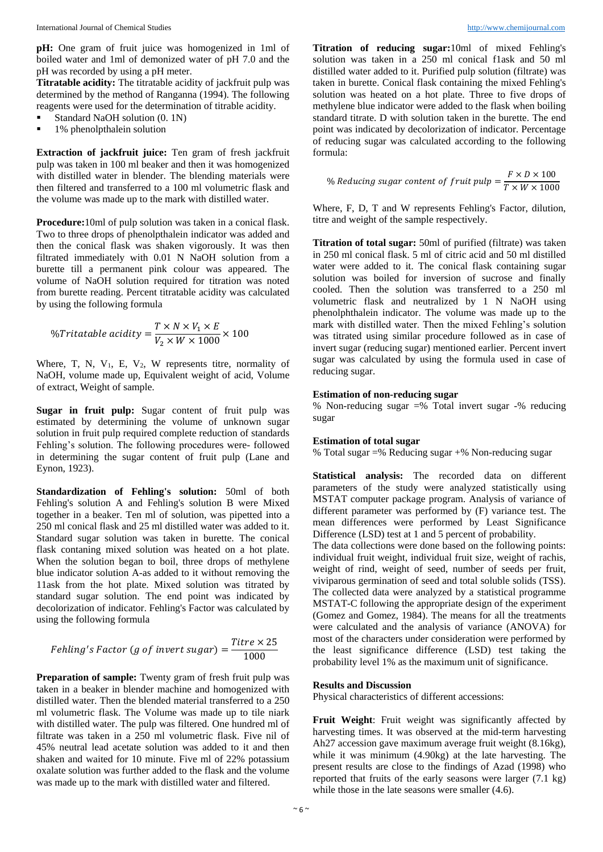**pH:** One gram of fruit juice was homogenized in 1ml of boiled water and 1ml of demonized water of pH 7.0 and the pH was recorded by using a pH meter.

**Titratable acidity:** The titratable acidity of jackfruit pulp was determined by the method of Ranganna (1994). The following reagents were used for the determination of titrable acidity.

- Standard NaOH solution (0. 1N)
- 1% phenolpthalein solution

**Extraction of jackfruit juice:** Ten gram of fresh jackfruit pulp was taken in 100 ml beaker and then it was homogenized with distilled water in blender. The blending materials were then filtered and transferred to a 100 ml volumetric flask and the volume was made up to the mark with distilled water.

**Procedure:**10ml of pulp solution was taken in a conical flask. Two to three drops of phenolpthalein indicator was added and then the conical flask was shaken vigorously. It was then filtrated immediately with 0.01 N NaOH solution from a burette till a permanent pink colour was appeared. The volume of NaOH solution required for titration was noted from burette reading. Percent titratable acidity was calculated by using the following formula

$$
\%Triatable\; acidity = \frac{T \times N \times V_1 \times E}{V_2 \times W \times 1000} \times 100
$$

Where, T, N,  $V_1$ , E,  $V_2$ , W represents titre, normality of NaOH, volume made up, Equivalent weight of acid, Volume of extract, Weight of sample.

**Sugar in fruit pulp:** Sugar content of fruit pulp was estimated by determining the volume of unknown sugar solution in fruit pulp required complete reduction of standards Fehling's solution. The following procedures were- followed in determining the sugar content of fruit pulp (Lane and Eynon, 1923).

**Standardization of Fehling's solution:** 50ml of both Fehling's solution A and Fehling's solution B were Mixed together in a beaker. Ten ml of solution, was pipetted into a 250 ml conical flask and 25 ml distilled water was added to it. Standard sugar solution was taken in burette. The conical flask contaning mixed solution was heated on a hot plate. When the solution began to boil, three drops of methylene blue indicator solution A-as added to it without removing the 11ask from the hot plate. Mixed solution was titrated by standard sugar solution. The end point was indicated by decolorization of indicator. Fehling's Factor was calculated by using the following formula

$$
Fehling's Factor (g of invert sugar) = \frac{Titre \times 25}{1000}
$$

Preparation of sample: Twenty gram of fresh fruit pulp was taken in a beaker in blender machine and homogenized with distilled water. Then the blended material transferred to a 250 ml volumetric flask. The Volume was made up to tile niark with distilled water. The pulp was filtered. One hundred ml of filtrate was taken in a 250 ml volumetric flask. Five nil of 45% neutral lead acetate solution was added to it and then shaken and waited for 10 minute. Five ml of 22% potassium oxalate solution was further added to the flask and the volume was made up to the mark with distilled water and filtered.

**Titration of reducing sugar:**10ml of mixed Fehling's solution was taken in a 250 ml conical f1ask and 50 ml distilled water added to it. Purified pulp solution (filtrate) was taken in burette. Conical flask containing the mixed Fehling's solution was heated on a hot plate. Three to five drops of methylene blue indicator were added to the flask when boiling standard titrate. D with solution taken in the burette. The end point was indicated by decolorization of indicator. Percentage of reducing sugar was calculated according to the following formula:

% Reducing sugar content of fruit pulp = 
$$
\frac{F \times D \times 100}{T \times W \times 1000}
$$

Where, F, D, T and W represents Fehling's Factor, dilution, titre and weight of the sample respectively.

**Titration of total sugar:** 50ml of purified (filtrate) was taken in 250 ml conical flask. 5 ml of citric acid and 50 ml distilled water were added to it. The conical flask containing sugar solution was boiled for inversion of sucrose and finally cooled. Then the solution was transferred to a 250 ml volumetric flask and neutralized by 1 N NaOH using phenolphthalein indicator. The volume was made up to the mark with distilled water. Then the mixed Fehling's solution was titrated using similar procedure followed as in case of invert sugar (reducing sugar) mentioned earlier. Percent invert sugar was calculated by using the formula used in case of reducing sugar.

#### **Estimation of non-reducing sugar**

% Non-reducing sugar =% Total invert sugar -% reducing sugar

#### **Estimation of total sugar**

% Total sugar =% Reducing sugar +% Non-reducing sugar

**Statistical analysis:** The recorded data on different parameters of the study were analyzed statistically using MSTAT computer package program. Analysis of variance of different parameter was performed by (F) variance test. The mean differences were performed by Least Significance Difference (LSD) test at 1 and 5 percent of probability.

The data collections were done based on the following points: individual fruit weight, individual fruit size, weight of rachis, weight of rind, weight of seed, number of seeds per fruit, viviparous germination of seed and total soluble solids (TSS). The collected data were analyzed by a statistical programme MSTAT-C following the appropriate design of the experiment (Gomez and Gomez, 1984). The means for all the treatments were calculated and the analysis of variance (ANOVA) for most of the characters under consideration were performed by the least significance difference (LSD) test taking the probability level 1% as the maximum unit of significance.

#### **Results and Discussion**

Physical characteristics of different accessions:

**Fruit Weight**: Fruit weight was significantly affected by harvesting times. It was observed at the mid-term harvesting Ah27 accession gave maximum average fruit weight (8.16kg), while it was minimum (4.90kg) at the late harvesting. The present results are close to the findings of Azad (1998) who reported that fruits of the early seasons were larger (7.1 kg) while those in the late seasons were smaller  $(4.6)$ .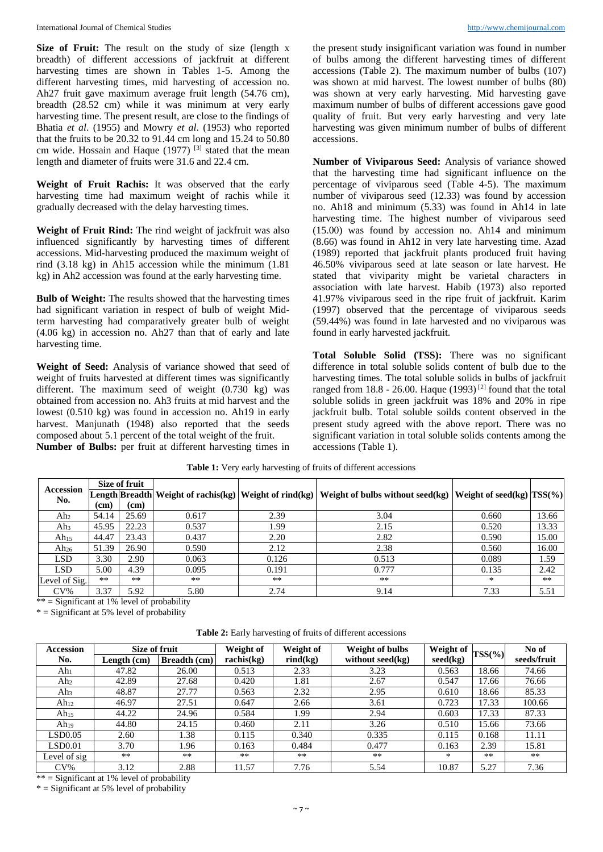Size of Fruit: The result on the study of size (length x breadth) of different accessions of jackfruit at different harvesting times are shown in Tables 1-5. Among the different harvesting times, mid harvesting of accession no. Ah27 fruit gave maximum average fruit length (54.76 cm), breadth (28.52 cm) while it was minimum at very early harvesting time. The present result, are close to the findings of Bhatia *et al*. (1955) and Mowry *et al*. (1953) who reported that the fruits to be 20.32 to 91.44 cm long and 15.24 to 50.80 cm wide. Hossain and Haque  $(1977)$  <sup>[3]</sup> stated that the mean length and diameter of fruits were 31.6 and 22.4 cm.

**Weight of Fruit Rachis:** It was observed that the early harvesting time had maximum weight of rachis while it gradually decreased with the delay harvesting times.

**Weight of Fruit Rind:** The rind weight of jackfruit was also influenced significantly by harvesting times of different accessions. Mid-harvesting produced the maximum weight of rind (3.18 kg) in Ah15 accession while the minimum (1.81 kg) in Ah2 accession was found at the early harvesting time.

**Bulb of Weight:** The results showed that the harvesting times had significant variation in respect of bulb of weight Midterm harvesting had comparatively greater bulb of weight (4.06 kg) in accession no. Ah27 than that of early and late harvesting time.

**Weight of Seed:** Analysis of variance showed that seed of weight of fruits harvested at different times was significantly different. The maximum seed of weight (0.730 kg) was obtained from accession no. Ah3 fruits at mid harvest and the lowest (0.510 kg) was found in accession no. Ah19 in early harvest. Manjunath (1948) also reported that the seeds composed about 5.1 percent of the total weight of the fruit. **Number of Bulbs:** per fruit at different harvesting times in the present study insignificant variation was found in number of bulbs among the different harvesting times of different accessions (Table 2). The maximum number of bulbs (107) was shown at mid harvest. The lowest number of bulbs (80) was shown at very early harvesting. Mid harvesting gave maximum number of bulbs of different accessions gave good quality of fruit. But very early harvesting and very late harvesting was given minimum number of bulbs of different accessions.

**Number of Viviparous Seed:** Analysis of variance showed that the harvesting time had significant influence on the percentage of viviparous seed (Table 4-5). The maximum number of viviparous seed (12.33) was found by accession no. Ah18 and minimum (5.33) was found in Ah14 in late harvesting time. The highest number of viviparous seed (15.00) was found by accession no. Ah14 and minimum (8.66) was found in Ah12 in very late harvesting time. Azad (1989) reported that jackfruit plants produced fruit having 46.50% viviparous seed at late season or late harvest. He stated that viviparity might be varietal characters in association with late harvest. Habib (1973) also reported 41.97% viviparous seed in the ripe fruit of jackfruit. Karim (1997) observed that the percentage of viviparous seeds (59.44%) was found in late harvested and no viviparous was found in early harvested jackfruit.

**Total Soluble Solid (TSS):** There was no significant difference in total soluble solids content of bulb due to the harvesting times. The total soluble solids in bulbs of jackfruit ranged from  $18.8 - 26.00$ . Haque  $(1993)$ <sup>[2]</sup> found that the total soluble solids in green jackfruit was 18% and 20% in ripe jackfruit bulb. Total soluble soilds content observed in the present study agreed with the above report. There was no significant variation in total soluble solids contents among the accessions (Table 1).

|                  |       | Size of fruit |       |       |                                                                                                                    |       |       |
|------------------|-------|---------------|-------|-------|--------------------------------------------------------------------------------------------------------------------|-------|-------|
| Accession<br>No. |       |               |       |       | [Length Breadth Weight of rachis(kg) Weight of rind(kg) Weight of bulbs without seed(kg) Weight of seed(kg) TSS(%) |       |       |
|                  | (cm)  | (cm)          |       |       |                                                                                                                    |       |       |
| Ah <sub>2</sub>  | 54.14 | 25.69         | 0.617 | 2.39  | 3.04                                                                                                               | 0.660 | 13.66 |
| Ah3              | 45.95 | 22.23         | 0.537 | 1.99  | 2.15                                                                                                               | 0.520 | 13.33 |
| Ah <sub>15</sub> | 44.47 | 23.43         | 0.437 | 2.20  | 2.82                                                                                                               | 0.590 | 15.00 |
| Ah <sub>26</sub> | 51.39 | 26.90         | 0.590 | 2.12  | 2.38                                                                                                               | 0.560 | 16.00 |
| LSD              | 3.30  | 2.90          | 0.063 | 0.126 | 0.513                                                                                                              | 0.089 | 1.59  |
| LSD              | 5.00  | 4.39          | 0.095 | 0.191 | 0.777                                                                                                              | 0.135 | 2.42  |
| Level of Sig.    | $***$ | $***$         | $***$ | $***$ | $**$                                                                                                               | ∗     | $***$ |
| $CV\%$           | 3.37  | 5.92          | 5.80  | 2.74  | 9.14                                                                                                               | 7.33  | 5.51  |

**Table 1:** Very early harvesting of fruits of different accessions

 $**$  = Significant at 1% level of probability

 $*$  = Significant at 5% level of probability

| <b>Table 2:</b> Early harvesting of fruits of different accessions |  |  |  |  |
|--------------------------------------------------------------------|--|--|--|--|
|--------------------------------------------------------------------|--|--|--|--|

| <b>Accession</b> | Size of fruit |              | Weight of  | Weight of         | Weight of bulbs  | Weight of |            | No of       |
|------------------|---------------|--------------|------------|-------------------|------------------|-----------|------------|-------------|
| No.              | Length (cm)   | Breadth (cm) | rachis(kg) | $\text{rind}(kg)$ | without seed(kg) | seed(kg)  | $TSS(\% )$ | seeds/fruit |
| Ahı              | 47.82         | 26.00        | 0.513      | 2.33              | 3.23             | 0.563     | 18.66      | 74.66       |
| Ah2              | 42.89         | 27.68        | 0.420      | 1.81              | 2.67             | 0.547     | 17.66      | 76.66       |
| Ah3              | 48.87         | 27.77        | 0.563      | 2.32              | 2.95             | 0.610     | 18.66      | 85.33       |
| Ah <sub>12</sub> | 46.97         | 27.51        | 0.647      | 2.66              | 3.61             | 0.723     | 17.33      | 100.66      |
| Ah <sub>15</sub> | 44.22         | 24.96        | 0.584      | .99               | 2.94             | 0.603     | 17.33      | 87.33       |
| Ah <sub>19</sub> | 44.80         | 24.15        | 0.460      | 2.11              | 3.26             | 0.510     | 15.66      | 73.66       |
| LSD0.05          | 2.60          | 1.38         | 0.115      | 0.340             | 0.335            | 0.115     | 0.168      | 11.11       |
| LSD0.01          | 3.70          | 1.96         | 0.163      | 0.484             | 0.477            | 0.163     | 2.39       | 15.81       |
| Level of sig     | $**$          | $**$         | $***$      | $**$              | $**$             | $*$       | $**$       | $**$        |
| $CV\%$           | 3.12          | 2.88         | 11.57      | 7.76              | 5.54             | 10.87     | 5.27       | 7.36        |

 $**$  = Significant at 1% level of probability

 $*$  = Significant at 5% level of probability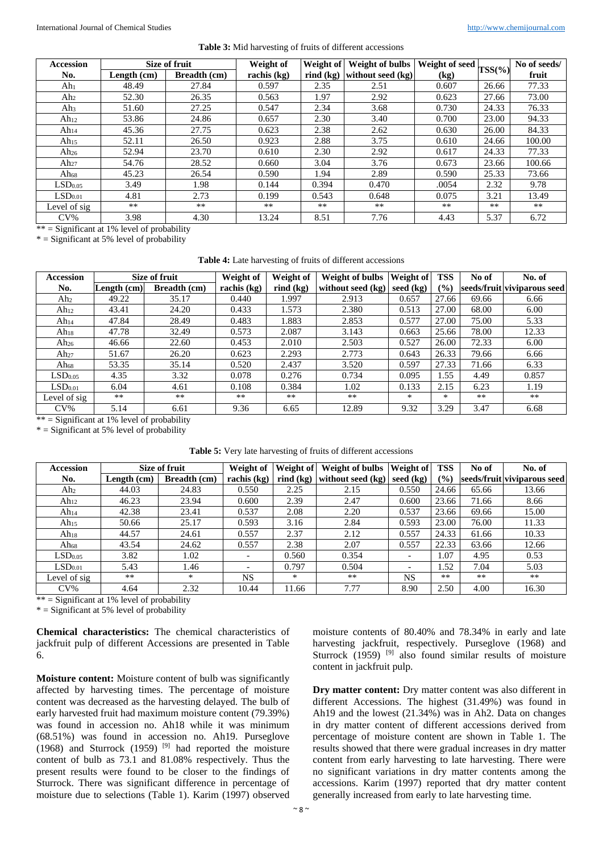|  |  |  |  | <b>Table 3:</b> Mid harvesting of fruits of different accessions |  |
|--|--|--|--|------------------------------------------------------------------|--|
|--|--|--|--|------------------------------------------------------------------|--|

| Accession           |                                          | <b>Size of fruit</b> | Weight of   | Weight of            | <b>Weight of bulbs</b>   Weight of seed $\left \text{TSS}(\%) \right $ |       |       | No of seeds/ |
|---------------------|------------------------------------------|----------------------|-------------|----------------------|------------------------------------------------------------------------|-------|-------|--------------|
| No.                 | Length $(cm)$                            | <b>Breadth (cm)</b>  | rachis (kg) | $\mathbf{rind}$ (kg) | without seed (kg)                                                      | (kg)  |       | fruit        |
| Ah <sub>1</sub>     | 48.49                                    | 27.84                | 0.597       | 2.35                 | 2.51                                                                   | 0.607 | 26.66 | 77.33        |
| Ah <sub>2</sub>     | 52.30                                    | 26.35                | 0.563       | 1.97                 | 2.92                                                                   | 0.623 | 27.66 | 73.00        |
| Ah <sub>3</sub>     | 51.60                                    | 27.25                | 0.547       | 2.34                 | 3.68                                                                   | 0.730 | 24.33 | 76.33        |
| Ah <sub>12</sub>    | 53.86                                    | 24.86                | 0.657       | 2.30                 | 3.40                                                                   | 0.700 | 23.00 | 94.33        |
| Ah <sub>14</sub>    | 45.36                                    | 27.75                | 0.623       | 2.38                 | 2.62                                                                   | 0.630 | 26.00 | 84.33        |
| Ah <sub>15</sub>    | 52.11                                    | 26.50                | 0.923       | 2.88                 | 3.75                                                                   | 0.610 | 24.66 | 100.00       |
| Ah <sub>26</sub>    | 52.94                                    | 23.70                | 0.610       | 2.30                 | 2.92                                                                   | 0.617 | 24.33 | 77.33        |
| Ah <sub>27</sub>    | 54.76                                    | 28.52                | 0.660       | 3.04                 | 3.76                                                                   | 0.673 | 23.66 | 100.66       |
| Ah <sub>68</sub>    | 45.23                                    | 26.54                | 0.590       | 1.94                 | 2.89                                                                   | 0.590 | 25.33 | 73.66        |
| LSD <sub>0.05</sub> | 3.49                                     | 1.98                 | 0.144       | 0.394                | 0.470                                                                  | .0054 | 2.32  | 9.78         |
| LSD <sub>0.01</sub> | 4.81                                     | 2.73                 | 0.199       | 0.543                | 0.648                                                                  | 0.075 | 3.21  | 13.49        |
| Level of sig        | $***$                                    | $**$                 | $**$        | **                   | $***$                                                                  | **    | $***$ | **           |
| $CV\%$<br>ا مان مان | 3.98<br>$C = C$ $C = 1.1011$ $C = 1.111$ | 4.30                 | 13.24       | 8.51                 | 7.76                                                                   | 4.43  | 5.37  | 6.72         |

 $**$  = Significant at 1% level of probability

 $*$  = Significant at 5% level of probability

| Table 4: Late harvesting of fruits of different accessions |  |  |
|------------------------------------------------------------|--|--|
|                                                            |  |  |

| <b>Accession</b>               |               | Size of fruit       | Weight of   | Weight of                        | Weight of bulbs   | Weight of | <b>TSS</b>    | No of | No. of                      |
|--------------------------------|---------------|---------------------|-------------|----------------------------------|-------------------|-----------|---------------|-------|-----------------------------|
| No.                            | Length $(cm)$ | <b>Breadth (cm)</b> | rachis (kg) | $\mathbf{r}$ ind $\mathbf{(kg)}$ | without seed (kg) | seed (kg) | $\frac{6}{6}$ |       | seeds/fruit viviparous seed |
| Ah2                            | 49.22         | 35.17               | 0.440       | 1.997                            | 2.913             | 0.657     | 27.66         | 69.66 | 6.66                        |
| Ah <sub>12</sub>               | 43.41         | 24.20               | 0.433       | 1.573                            | 2.380             | 0.513     | 27.00         | 68.00 | 6.00                        |
| Ah <sub>14</sub>               | 47.84         | 28.49               | 0.483       | 1.883                            | 2.853             | 0.577     | 27.00         | 75.00 | 5.33                        |
| $Ah_{18}$                      | 47.78         | 32.49               | 0.573       | 2.087                            | 3.143             | 0.663     | 25.66         | 78.00 | 12.33                       |
| Ah <sub>26</sub>               | 46.66         | 22.60               | 0.453       | 2.010                            | 2.503             | 0.527     | 26.00         | 72.33 | 6.00                        |
| Ah <sub>27</sub>               | 51.67         | 26.20               | 0.623       | 2.293                            | 2.773             | 0.643     | 26.33         | 79.66 | 6.66                        |
| Ah $_{68}$                     | 53.35         | 35.14               | 0.520       | 2.437                            | 3.520             | 0.597     | 27.33         | 71.66 | 6.33                        |
| LSD <sub>0.05</sub>            | 4.35          | 3.32                | 0.078       | 0.276                            | 0.734             | 0.095     | 1.55          | 4.49  | 0.857                       |
| LSD <sub>0.01</sub>            | 6.04          | 4.61                | 0.108       | 0.384                            | 1.02              | 0.133     | 2.15          | 6.23  | 1.19                        |
| Level of sig                   | $***$         | $**$                | $***$       | $***$                            | $***$             | $\ast$    | *             | $***$ | $***$                       |
| $CV\%$<br>$\cdots$<br>$\sim$ . | 5.14<br>.     | 6.61<br>            | 9.36        | 6.65                             | 12.89             | 9.32      | 3.29          | 3.47  | 6.68                        |

 $**$  = Significant at 1% level of probability

 $*$  = Significant at 5% level of probability

|  | <b>Table 5:</b> Very late harvesting of fruits of different accessions |  |  |  |
|--|------------------------------------------------------------------------|--|--|--|
|--|------------------------------------------------------------------------|--|--|--|

| <b>Accession</b>    |             | Size of fruit | Weight of                | Weight of            | Weight of bulbs   Weight of |                          | <b>TSS</b> | No of | No. of                      |
|---------------------|-------------|---------------|--------------------------|----------------------|-----------------------------|--------------------------|------------|-------|-----------------------------|
| No.                 | Length (cm) | Breadth (cm)  | rachis (kg)              | $\mathbf{rind}$ (kg) | without seed (kg)           | seed (kg)                | (%)        |       | seeds/fruit viviparous seed |
| Ah <sub>2</sub>     | 44.03       | 24.83         | 0.550                    | 2.25                 | 2.15                        | 0.550                    | 24.66      | 65.66 | 13.66                       |
| $Ah_{12}$           | 46.23       | 23.94         | 0.600                    | 2.39                 | 2.47                        | 0.600                    | 23.66      | 71.66 | 8.66                        |
| Ah <sub>14</sub>    | 42.38       | 23.41         | 0.537                    | 2.08                 | 2.20                        | 0.537                    | 23.66      | 69.66 | 15.00                       |
| Ah <sub>15</sub>    | 50.66       | 25.17         | 0.593                    | 3.16                 | 2.84                        | 0.593                    | 23.00      | 76.00 | 11.33                       |
| $Ah_{18}$           | 44.57       | 24.61         | 0.557                    | 2.37                 | 2.12                        | 0.557                    | 24.33      | 61.66 | 10.33                       |
| Ah $_{68}$          | 43.54       | 24.62         | 0.557                    | 2.38                 | 2.07                        | 0.557                    | 22.33      | 63.66 | 12.66                       |
| LSD <sub>0.05</sub> | 3.82        | 1.02          | -                        | 0.560                | 0.354                       | $\overline{\phantom{a}}$ | 1.07       | 4.95  | 0.53                        |
| LSD <sub>0.01</sub> | 5.43        | 1.46          | $\overline{\phantom{0}}$ | 0.797                | 0.504                       | $\overline{\phantom{a}}$ | 1.52       | 7.04  | 5.03                        |
| Level of sig        | $***$       | $\ast$        | <b>NS</b>                | ∗                    | $***$                       | <b>NS</b>                | $***$      | $**$  | $**$                        |
| $CV\%$              | 4.64        | 2.32          | 10.44                    | 11.66                | 7.77                        | 8.90                     | 2.50       | 4.00  | 16.30                       |

 $***$  = Significant at 1% level of probability

 $*$  = Significant at 5% level of probability

**Chemical characteristics:** The chemical characteristics of jackfruit pulp of different Accessions are presented in Table 6.

**Moisture content:** Moisture content of bulb was significantly affected by harvesting times. The percentage of moisture content was decreased as the harvesting delayed. The bulb of early harvested fruit had maximum moisture content (79.39%) was found in accession no. Ah18 while it was minimum (68.51%) was found in accession no. Ah19. Purseglove (1968) and Sturrock (1959)  $[9]$  had reported the moisture content of bulb as 73.1 and 81.08% respectively. Thus the present results were found to be closer to the findings of Sturrock. There was significant difference in percentage of moisture due to selections (Table 1). Karim (1997) observed

moisture contents of 80.40% and 78.34% in early and late harvesting jackfruit, respectively. Purseglove (1968) and Sturrock  $(1959)$ <sup>[9]</sup> also found similar results of moisture content in jackfruit pulp.

**Dry matter content:** Dry matter content was also different in different Accessions. The highest (31.49%) was found in Ah19 and the lowest (21.34%) was in Ah2. Data on changes in dry matter content of different accessions derived from percentage of moisture content are shown in Table 1. The results showed that there were gradual increases in dry matter content from early harvesting to late harvesting. There were no significant variations in dry matter contents among the accessions. Karim (1997) reported that dry matter content generally increased from early to late harvesting time.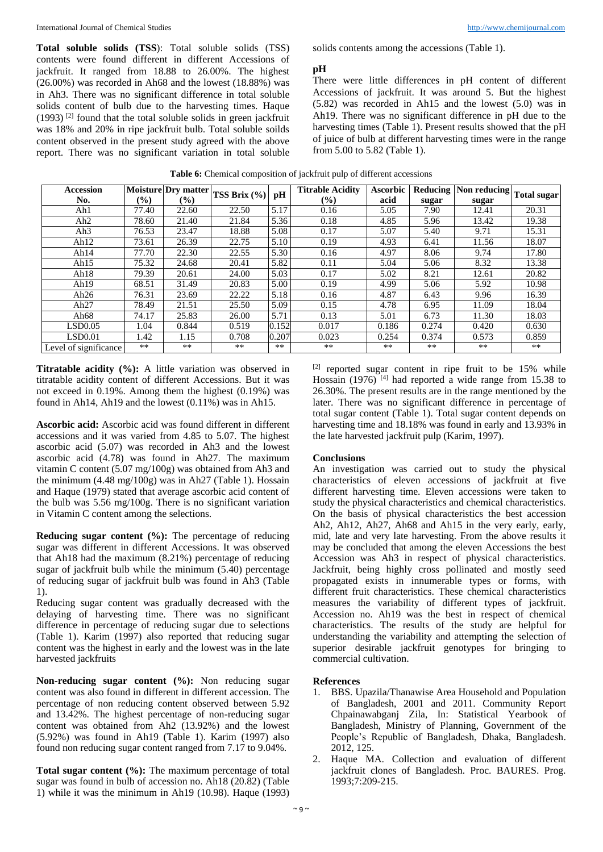**Total soluble solids (TSS**): Total soluble solids (TSS) contents were found different in different Accessions of jackfruit. It ranged from 18.88 to 26.00%. The highest (26.00%) was recorded in Ah68 and the lowest (18.88%) was in Ah3. There was no significant difference in total soluble solids content of bulb due to the harvesting times. Haque  $(1993)$ <sup>[2]</sup> found that the total soluble solids in green jackfruit was 18% and 20% in ripe jackfruit bulb. Total soluble soilds content observed in the present study agreed with the above report. There was no significant variation in total soluble solids contents among the accessions (Table 1).

#### **pH**

There were little differences in pH content of different Accessions of jackfruit. It was around 5. But the highest (5.82) was recorded in Ah15 and the lowest (5.0) was in Ah19. There was no significant difference in pH due to the harvesting times (Table 1). Present results showed that the pH of juice of bulb at different harvesting times were in the range from 5.00 to 5.82 (Table 1).

|  |  |  |  | Table 6: Chemical composition of jackfruit pulp of different accessions |
|--|--|--|--|-------------------------------------------------------------------------|
|--|--|--|--|-------------------------------------------------------------------------|

| <b>Accession</b><br>No. | $\left( \frac{0}{0} \right)$ | Moisture Dry matter<br>(%) | TSS Brix $(\% )$ | pH    | <b>Titrable Acidity</b><br>$(\%)$ | <b>Ascorbic</b><br>acid | Reducing<br>sugar | Non reducing $\vert$ Total sugar<br>sugar |       |
|-------------------------|------------------------------|----------------------------|------------------|-------|-----------------------------------|-------------------------|-------------------|-------------------------------------------|-------|
| Ahl                     | 77.40                        | 22.60                      | 22.50            | 5.17  | 0.16                              | 5.05                    | 7.90              | 12.41                                     | 20.31 |
| Ah2                     | 78.60                        | 21.40                      | 21.84            | 5.36  | 0.18                              | 4.85                    | 5.96              | 13.42                                     | 19.38 |
| Ah <sub>3</sub>         | 76.53                        | 23.47                      | 18.88            | 5.08  | 0.17                              | 5.07                    | 5.40              | 9.71                                      | 15.31 |
| Ah $12$                 | 73.61                        | 26.39                      | 22.75            | 5.10  | 0.19                              | 4.93                    | 6.41              | 11.56                                     | 18.07 |
| Ah $14$                 | 77.70                        | 22.30                      | 22.55            | 5.30  | 0.16                              | 4.97                    | 8.06              | 9.74                                      | 17.80 |
| Ah $15$                 | 75.32                        | 24.68                      | 20.41            | 5.82  | 0.11                              | 5.04                    | 5.06              | 8.32                                      | 13.38 |
| Ah18                    | 79.39                        | 20.61                      | 24.00            | 5.03  | 0.17                              | 5.02                    | 8.21              | 12.61                                     | 20.82 |
| Ah $19$                 | 68.51                        | 31.49                      | 20.83            | 5.00  | 0.19                              | 4.99                    | 5.06              | 5.92                                      | 10.98 |
| Ah $26$                 | 76.31                        | 23.69                      | 22.22            | 5.18  | 0.16                              | 4.87                    | 6.43              | 9.96                                      | 16.39 |
| Ah $27$                 | 78.49                        | 21.51                      | 25.50            | 5.09  | 0.15                              | 4.78                    | 6.95              | 11.09                                     | 18.04 |
| Ah $68$                 | 74.17                        | 25.83                      | 26.00            | 5.71  | 0.13                              | 5.01                    | 6.73              | 11.30                                     | 18.03 |
| LSD0.05                 | 1.04                         | 0.844                      | 0.519            | 0.152 | 0.017                             | 0.186                   | 0.274             | 0.420                                     | 0.630 |
| LSD0.01                 | 1.42                         | 1.15                       | 0.708            | 0.207 | 0.023                             | 0.254                   | 0.374             | 0.573                                     | 0.859 |
| Level of significance   | **                           | **                         | $***$            | **    | **                                | **                      | **                | **                                        | **    |

**Titratable acidity (%):** A little variation was observed in titratable acidity content of different Accessions. But it was not exceed in 0.19%. Among them the highest (0.19%) was found in Ah14, Ah19 and the lowest (0.11%) was in Ah15.

**Ascorbic acid:** Ascorbic acid was found different in different accessions and it was varied from 4.85 to 5.07. The highest ascorbic acid (5.07) was recorded in Ah3 and the lowest ascorbic acid (4.78) was found in Ah27. The maximum vitamin C content (5.07 mg/100g) was obtained from Ah3 and the minimum (4.48 mg/100g) was in Ah27 (Table 1). Hossain and Haque (1979) stated that average ascorbic acid content of the bulb was 5.56 mg/100g. There is no significant variation in Vitamin C content among the selections.

**Reducing sugar content (%):** The percentage of reducing sugar was different in different Accessions. It was observed that Ah18 had the maximum (8.21%) percentage of reducing sugar of jackfruit bulb while the minimum (5.40) percentage of reducing sugar of jackfruit bulb was found in Ah3 (Table 1).

Reducing sugar content was gradually decreased with the delaying of harvesting time. There was no significant difference in percentage of reducing sugar due to selections (Table 1). Karim (1997) also reported that reducing sugar content was the highest in early and the lowest was in the late harvested jackfruits

**Non-reducing sugar content (%):** Non reducing sugar content was also found in different in different accession. The percentage of non reducing content observed between 5.92 and 13.42%. The highest percentage of non-reducing sugar content was obtained from Ah2 (13.92%) and the lowest (5.92%) was found in Ah19 (Table 1). Karim (1997) also found non reducing sugar content ranged from 7.17 to 9.04%.

**Total sugar content (%):** The maximum percentage of total sugar was found in bulb of accession no. Ah18 (20.82) (Table 1) while it was the minimum in Ah19 (10.98). Haque (1993)

 $[2]$  reported sugar content in ripe fruit to be 15% while Hossain (1976)  $[4]$  had reported a wide range from 15.38 to 26.30%. The present results are in the range mentioned by the later. There was no significant difference in percentage of total sugar content (Table 1). Total sugar content depends on harvesting time and 18.18% was found in early and 13.93% in the late harvested jackfruit pulp (Karim, 1997).

#### **Conclusions**

An investigation was carried out to study the physical characteristics of eleven accessions of jackfruit at five different harvesting time. Eleven accessions were taken to study the physical characteristics and chemical characteristics. On the basis of physical characteristics the best accession Ah2, Ah12, Ah27, Ah68 and Ah15 in the very early, early, mid, late and very late harvesting. From the above results it may be concluded that among the eleven Accessions the best Accession was Ah3 in respect of physical characteristics. Jackfruit, being highly cross pollinated and mostly seed propagated exists in innumerable types or forms, with different fruit characteristics. These chemical characteristics measures the variability of different types of jackfruit. Accession no. Ah19 was the best in respect of chemical characteristics. The results of the study are helpful for understanding the variability and attempting the selection of superior desirable jackfruit genotypes for bringing to commercial cultivation.

#### **References**

- 1. BBS. Upazila/Thanawise Area Household and Population of Bangladesh, 2001 and 2011. Community Report Chpainawabganj Zila, In: Statistical Yearbook of Bangladesh, Ministry of Planning, Government of the People's Republic of Bangladesh, Dhaka, Bangladesh. 2012, 125.
- 2. Haque MA. Collection and evaluation of different jackfruit clones of Bangladesh. Proc. BAURES. Prog. 1993;7:209-215.